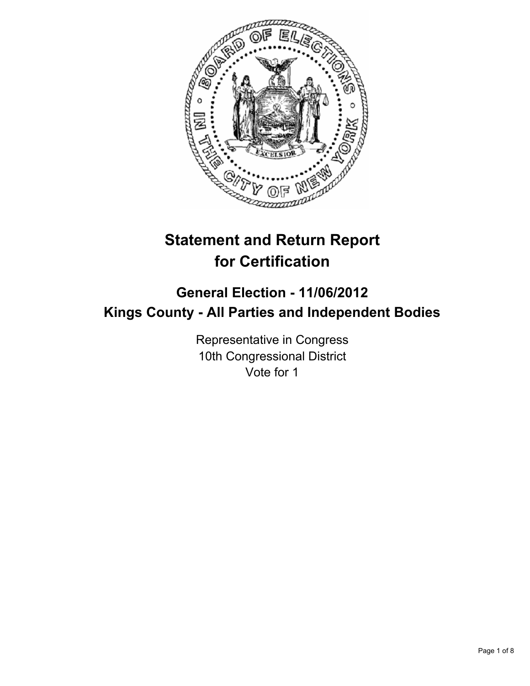

# **Statement and Return Report for Certification**

## **General Election - 11/06/2012 Kings County - All Parties and Independent Bodies**

Representative in Congress 10th Congressional District Vote for 1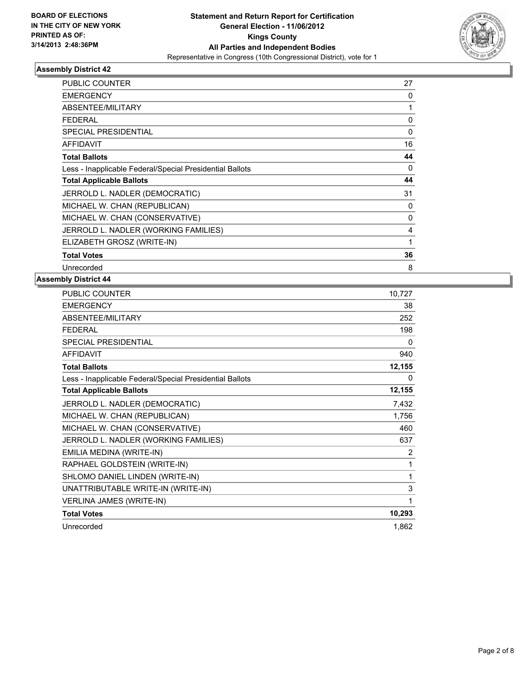

| <b>PUBLIC COUNTER</b>                                    | 27       |
|----------------------------------------------------------|----------|
| <b>EMERGENCY</b>                                         | 0        |
| <b>ABSENTEE/MILITARY</b>                                 | 1        |
| <b>FEDERAL</b>                                           | 0        |
| <b>SPECIAL PRESIDENTIAL</b>                              | $\Omega$ |
| AFFIDAVIT                                                | 16       |
| <b>Total Ballots</b>                                     | 44       |
| Less - Inapplicable Federal/Special Presidential Ballots | 0        |
| <b>Total Applicable Ballots</b>                          | 44       |
| JERROLD L. NADLER (DEMOCRATIC)                           | 31       |
| MICHAEL W. CHAN (REPUBLICAN)                             | 0        |
| MICHAEL W. CHAN (CONSERVATIVE)                           | 0        |
| JERROLD L. NADLER (WORKING FAMILIES)                     | 4        |
| ELIZABETH GROSZ (WRITE-IN)                               | 1        |
| <b>Total Votes</b>                                       | 36       |
| Unrecorded                                               | 8        |

| PUBLIC COUNTER                                           | 10,727   |
|----------------------------------------------------------|----------|
| <b>EMERGENCY</b>                                         | 38       |
| ABSENTEE/MILITARY                                        | 252      |
| <b>FEDERAL</b>                                           | 198      |
| <b>SPECIAL PRESIDENTIAL</b>                              | 0        |
| <b>AFFIDAVIT</b>                                         | 940      |
| <b>Total Ballots</b>                                     | 12,155   |
| Less - Inapplicable Federal/Special Presidential Ballots | $\Omega$ |
| <b>Total Applicable Ballots</b>                          | 12,155   |
| JERROLD L. NADLER (DEMOCRATIC)                           | 7,432    |
| MICHAEL W. CHAN (REPUBLICAN)                             | 1,756    |
| MICHAEL W. CHAN (CONSERVATIVE)                           | 460      |
| JERROLD L. NADLER (WORKING FAMILIES)                     | 637      |
| EMILIA MEDINA (WRITE-IN)                                 | 2        |
| RAPHAEL GOLDSTEIN (WRITE-IN)                             | 1        |
| SHLOMO DANIEL LINDEN (WRITE-IN)                          | 1        |
| UNATTRIBUTABLE WRITE-IN (WRITE-IN)                       | 3        |
| <b>VERLINA JAMES (WRITE-IN)</b>                          | 1        |
| <b>Total Votes</b>                                       | 10,293   |
| Unrecorded                                               | 1.862    |
|                                                          |          |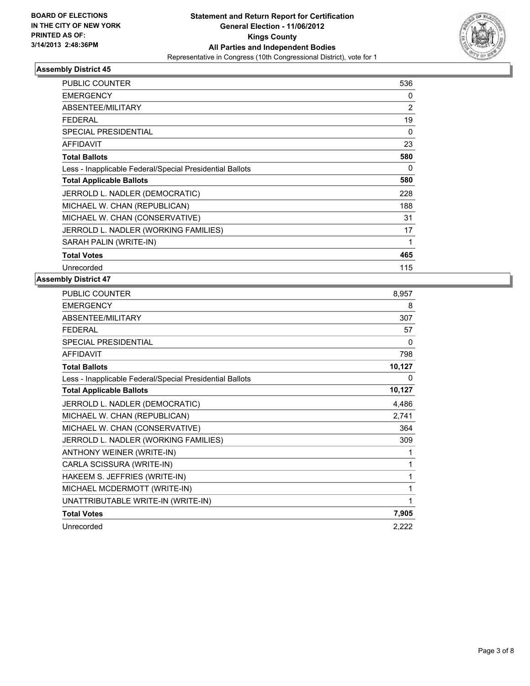

| <b>PUBLIC COUNTER</b>                                    | 536            |
|----------------------------------------------------------|----------------|
| <b>EMERGENCY</b>                                         | 0              |
| <b>ABSENTEE/MILITARY</b>                                 | $\overline{2}$ |
| <b>FEDERAL</b>                                           | 19             |
| <b>SPECIAL PRESIDENTIAL</b>                              | 0              |
| <b>AFFIDAVIT</b>                                         | 23             |
| <b>Total Ballots</b>                                     | 580            |
| Less - Inapplicable Federal/Special Presidential Ballots | 0              |
| <b>Total Applicable Ballots</b>                          | 580            |
| JERROLD L. NADLER (DEMOCRATIC)                           | 228            |
| MICHAEL W. CHAN (REPUBLICAN)                             | 188            |
| MICHAEL W. CHAN (CONSERVATIVE)                           | 31             |
| JERROLD L. NADLER (WORKING FAMILIES)                     | 17             |
| SARAH PALIN (WRITE-IN)                                   | 1              |
| <b>Total Votes</b>                                       | 465            |
| Unrecorded                                               | 115            |

| <b>PUBLIC COUNTER</b>                                    | 8,957  |
|----------------------------------------------------------|--------|
| <b>EMERGENCY</b>                                         | 8      |
| ABSENTEE/MILITARY                                        | 307    |
| <b>FEDERAL</b>                                           | 57     |
| <b>SPECIAL PRESIDENTIAL</b>                              | 0      |
| <b>AFFIDAVIT</b>                                         | 798    |
| <b>Total Ballots</b>                                     | 10,127 |
| Less - Inapplicable Federal/Special Presidential Ballots | 0      |
| <b>Total Applicable Ballots</b>                          | 10,127 |
| JERROLD L. NADLER (DEMOCRATIC)                           | 4,486  |
| MICHAEL W. CHAN (REPUBLICAN)                             | 2,741  |
| MICHAEL W. CHAN (CONSERVATIVE)                           | 364    |
| JERROLD L. NADLER (WORKING FAMILIES)                     | 309    |
| ANTHONY WEINER (WRITE-IN)                                | 1      |
| CARLA SCISSURA (WRITE-IN)                                | 1      |
| HAKEEM S. JEFFRIES (WRITE-IN)                            | 1      |
| MICHAEL MCDERMOTT (WRITE-IN)                             | 1      |
| UNATTRIBUTABLE WRITE-IN (WRITE-IN)                       | 1      |
| <b>Total Votes</b>                                       | 7,905  |
| Unrecorded                                               | 2,222  |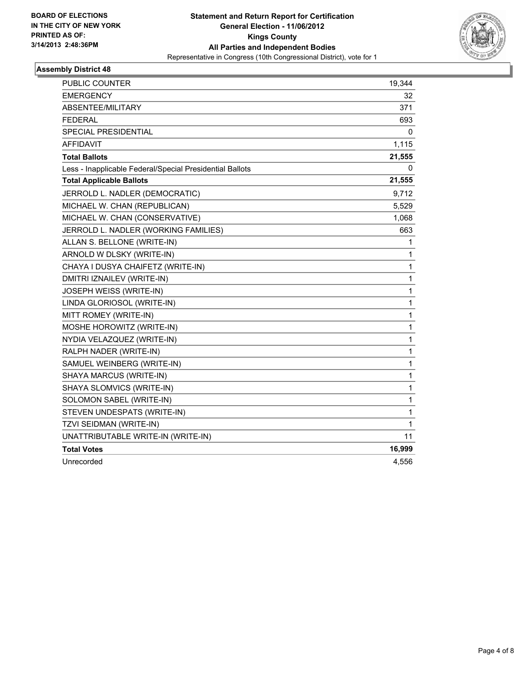

| PUBLIC COUNTER                                           | 19,344 |
|----------------------------------------------------------|--------|
| <b>EMERGENCY</b>                                         | 32     |
| ABSENTEE/MILITARY                                        | 371    |
| <b>FEDERAL</b>                                           | 693    |
| <b>SPECIAL PRESIDENTIAL</b>                              | 0      |
| AFFIDAVIT                                                | 1,115  |
| <b>Total Ballots</b>                                     | 21,555 |
| Less - Inapplicable Federal/Special Presidential Ballots | 0      |
| <b>Total Applicable Ballots</b>                          | 21,555 |
| JERROLD L. NADLER (DEMOCRATIC)                           | 9,712  |
| MICHAEL W. CHAN (REPUBLICAN)                             | 5,529  |
| MICHAEL W. CHAN (CONSERVATIVE)                           | 1,068  |
| JERROLD L. NADLER (WORKING FAMILIES)                     | 663    |
| ALLAN S. BELLONE (WRITE-IN)                              | 1      |
| ARNOLD W DLSKY (WRITE-IN)                                | 1      |
| CHAYA I DUSYA CHAIFETZ (WRITE-IN)                        | 1      |
| DMITRI IZNAILEV (WRITE-IN)                               | 1      |
| JOSEPH WEISS (WRITE-IN)                                  | 1      |
| LINDA GLORIOSOL (WRITE-IN)                               | 1      |
| MITT ROMEY (WRITE-IN)                                    | 1      |
| MOSHE HOROWITZ (WRITE-IN)                                | 1      |
| NYDIA VELAZQUEZ (WRITE-IN)                               | 1      |
| RALPH NADER (WRITE-IN)                                   | 1      |
| SAMUEL WEINBERG (WRITE-IN)                               | 1      |
| SHAYA MARCUS (WRITE-IN)                                  | 1      |
| SHAYA SLOMVICS (WRITE-IN)                                | 1      |
| SOLOMON SABEL (WRITE-IN)                                 | 1      |
| STEVEN UNDESPATS (WRITE-IN)                              | 1      |
| TZVI SEIDMAN (WRITE-IN)                                  | 1      |
| UNATTRIBUTABLE WRITE-IN (WRITE-IN)                       | 11     |
| <b>Total Votes</b>                                       | 16,999 |
| Unrecorded                                               | 4,556  |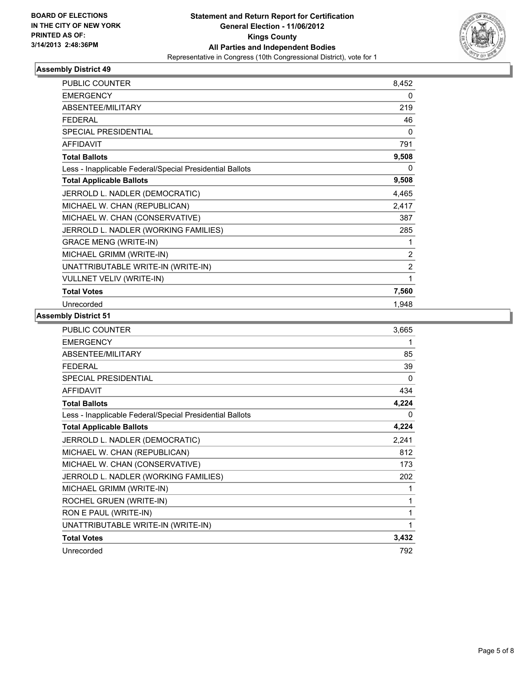

| <b>PUBLIC COUNTER</b>                                    | 8,452          |
|----------------------------------------------------------|----------------|
| <b>EMERGENCY</b>                                         | 0              |
| <b>ABSENTEE/MILITARY</b>                                 | 219            |
| <b>FEDERAL</b>                                           | 46             |
| <b>SPECIAL PRESIDENTIAL</b>                              | 0              |
| <b>AFFIDAVIT</b>                                         | 791            |
| <b>Total Ballots</b>                                     | 9,508          |
| Less - Inapplicable Federal/Special Presidential Ballots | 0              |
| <b>Total Applicable Ballots</b>                          | 9,508          |
| JERROLD L. NADLER (DEMOCRATIC)                           | 4,465          |
| MICHAEL W. CHAN (REPUBLICAN)                             | 2,417          |
| MICHAEL W. CHAN (CONSERVATIVE)                           | 387            |
| JERROLD L. NADLER (WORKING FAMILIES)                     | 285            |
| <b>GRACE MENG (WRITE-IN)</b>                             | 1              |
| MICHAEL GRIMM (WRITE-IN)                                 | $\overline{2}$ |
| UNATTRIBUTABLE WRITE-IN (WRITE-IN)                       | $\overline{2}$ |
| <b>VULLNET VELIV (WRITE-IN)</b>                          | 1              |
| <b>Total Votes</b>                                       | 7,560          |
| Unrecorded                                               | 1,948          |

| <b>PUBLIC COUNTER</b>                                    | 3,665 |
|----------------------------------------------------------|-------|
| <b>EMERGENCY</b>                                         | 1     |
| ABSENTEE/MILITARY                                        | 85    |
| <b>FEDERAL</b>                                           | 39    |
| <b>SPECIAL PRESIDENTIAL</b>                              | 0     |
| <b>AFFIDAVIT</b>                                         | 434   |
| <b>Total Ballots</b>                                     | 4,224 |
| Less - Inapplicable Federal/Special Presidential Ballots | 0     |
| <b>Total Applicable Ballots</b>                          | 4,224 |
| JERROLD L. NADLER (DEMOCRATIC)                           | 2,241 |
| MICHAEL W. CHAN (REPUBLICAN)                             | 812   |
| MICHAEL W. CHAN (CONSERVATIVE)                           | 173   |
| JERROLD L. NADLER (WORKING FAMILIES)                     | 202   |
| MICHAEL GRIMM (WRITE-IN)                                 | 1     |
| ROCHEL GRUEN (WRITE-IN)                                  | 1     |
| RON E PAUL (WRITE-IN)                                    | 1     |
| UNATTRIBUTABLE WRITE-IN (WRITE-IN)                       | 1     |
| <b>Total Votes</b>                                       | 3,432 |
| Unrecorded                                               | 792   |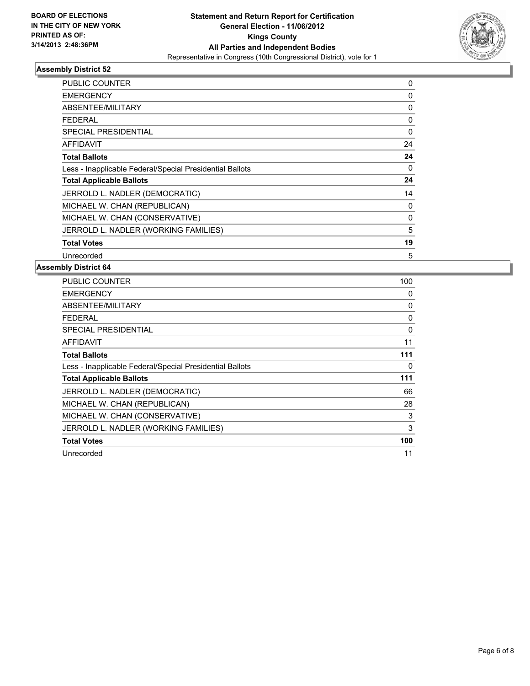

| <b>PUBLIC COUNTER</b>                                    | 0           |
|----------------------------------------------------------|-------------|
| <b>EMERGENCY</b>                                         | 0           |
| ABSENTEE/MILITARY                                        | 0           |
| <b>FEDERAL</b>                                           | 0           |
| SPECIAL PRESIDENTIAL                                     | $\mathbf 0$ |
| AFFIDAVIT                                                | 24          |
| <b>Total Ballots</b>                                     | 24          |
| Less - Inapplicable Federal/Special Presidential Ballots | 0           |
| <b>Total Applicable Ballots</b>                          | 24          |
| JERROLD L. NADLER (DEMOCRATIC)                           | 14          |
| MICHAEL W. CHAN (REPUBLICAN)                             | 0           |
| MICHAEL W. CHAN (CONSERVATIVE)                           | $\Omega$    |
| JERROLD L. NADLER (WORKING FAMILIES)                     | 5           |
| <b>Total Votes</b>                                       | 19          |
| Unrecorded                                               | 5           |

| <b>PUBLIC COUNTER</b>                                    | 100      |
|----------------------------------------------------------|----------|
| <b>EMERGENCY</b>                                         | 0        |
| ABSENTEE/MILITARY                                        | 0        |
| FEDERAL                                                  | 0        |
| SPECIAL PRESIDENTIAL                                     | $\Omega$ |
| AFFIDAVIT                                                | 11       |
| <b>Total Ballots</b>                                     | 111      |
| Less - Inapplicable Federal/Special Presidential Ballots | 0        |
| <b>Total Applicable Ballots</b>                          | 111      |
| JERROLD L. NADLER (DEMOCRATIC)                           | 66       |
| MICHAEL W. CHAN (REPUBLICAN)                             | 28       |
| MICHAEL W. CHAN (CONSERVATIVE)                           | 3        |
| JERROLD L. NADLER (WORKING FAMILIES)                     | 3        |
| <b>Total Votes</b>                                       | 100      |
| Unrecorded                                               | 11       |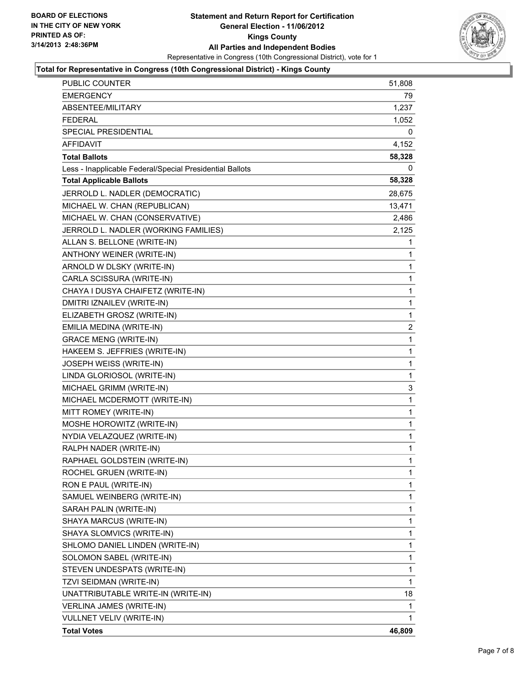

#### **Total for Representative in Congress (10th Congressional District) - Kings County**

| <b>PUBLIC COUNTER</b>                                    | 51,808   |
|----------------------------------------------------------|----------|
| <b>EMERGENCY</b>                                         | 79       |
| ABSENTEE/MILITARY                                        | 1,237    |
| <b>FEDERAL</b>                                           | 1,052    |
| SPECIAL PRESIDENTIAL                                     | 0        |
| <b>AFFIDAVIT</b>                                         | 4,152    |
| <b>Total Ballots</b>                                     | 58,328   |
| Less - Inapplicable Federal/Special Presidential Ballots | $\Omega$ |
| <b>Total Applicable Ballots</b>                          | 58,328   |
| JERROLD L. NADLER (DEMOCRATIC)                           | 28,675   |
| MICHAEL W. CHAN (REPUBLICAN)                             | 13,471   |
| MICHAEL W. CHAN (CONSERVATIVE)                           | 2,486    |
| JERROLD L. NADLER (WORKING FAMILIES)                     | 2,125    |
| ALLAN S. BELLONE (WRITE-IN)                              | 1        |
| ANTHONY WEINER (WRITE-IN)                                | 1        |
| ARNOLD W DLSKY (WRITE-IN)                                | 1        |
| CARLA SCISSURA (WRITE-IN)                                | 1        |
| CHAYA I DUSYA CHAIFETZ (WRITE-IN)                        | 1        |
| DMITRI IZNAILEV (WRITE-IN)                               | 1        |
| ELIZABETH GROSZ (WRITE-IN)                               | 1        |
| EMILIA MEDINA (WRITE-IN)                                 | 2        |
| <b>GRACE MENG (WRITE-IN)</b>                             | 1        |
| HAKEEM S. JEFFRIES (WRITE-IN)                            | 1        |
| JOSEPH WEISS (WRITE-IN)                                  | 1        |
| LINDA GLORIOSOL (WRITE-IN)                               | 1        |
| MICHAEL GRIMM (WRITE-IN)                                 | 3        |
| MICHAEL MCDERMOTT (WRITE-IN)                             | 1        |
| MITT ROMEY (WRITE-IN)                                    | 1        |
| MOSHE HOROWITZ (WRITE-IN)                                | 1        |
| NYDIA VELAZQUEZ (WRITE-IN)                               | 1        |
| RALPH NADER (WRITE-IN)                                   | 1        |
| RAPHAEL GOLDSTEIN (WRITE-IN)                             | 1        |
| ROCHEL GRUEN (WRITE-IN)                                  | 1        |
| RON E PAUL (WRITE-IN)                                    | 1        |
| SAMUEL WEINBERG (WRITE-IN)                               | 1        |
| SARAH PALIN (WRITE-IN)                                   | 1        |
| SHAYA MARCUS (WRITE-IN)                                  | 1        |
| SHAYA SLOMVICS (WRITE-IN)                                | 1        |
| SHLOMO DANIEL LINDEN (WRITE-IN)                          | 1        |
| SOLOMON SABEL (WRITE-IN)                                 | 1        |
| STEVEN UNDESPATS (WRITE-IN)                              | 1        |
| TZVI SEIDMAN (WRITE-IN)                                  | 1        |
| UNATTRIBUTABLE WRITE-IN (WRITE-IN)                       | 18       |
| VERLINA JAMES (WRITE-IN)                                 | 1        |
| VULLNET VELIV (WRITE-IN)                                 | 1        |
| <b>Total Votes</b>                                       | 46,809   |
|                                                          |          |